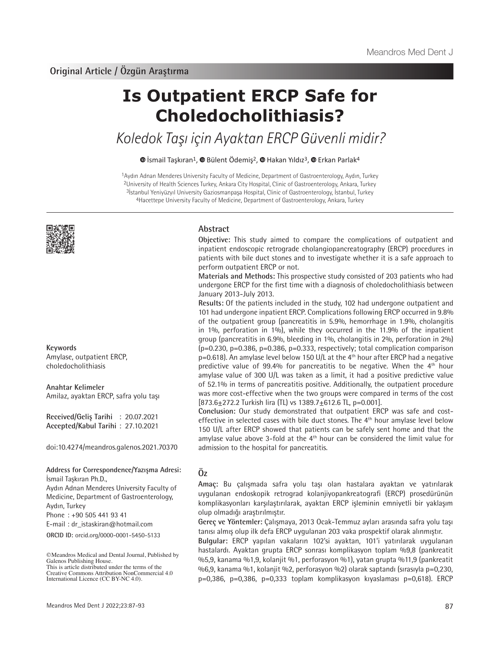# **Is Outpatient ERCP Safe for Choledocholithiasis?**

Koledok Taşı için Ayaktan ERCP Güvenli midir?

 $\bullet$ İsmail Taşkıran<sup>1</sup>,  $\bullet$  Bülent Ödemiş<sup>2</sup>,  $\bullet$  Hakan Yıldız<sup>3</sup>,  $\bullet$  Erkan Parlak<sup>4</sup>

Aydın Adnan Menderes University Faculty of Medicine, Department of Gastroenterology, Aydın, Turkey University of Health Sciences Turkey, Ankara City Hospital, Clinic of Gastroenterology, Ankara, Turkey İstanbul Yeniyüzyıl University Gaziosmanpaşa Hospital, Clinic of Gastroenterology, İstanbul, Turkey 4Hacettepe University Faculty of Medicine, Department of Gastroenterology, Ankara, Turkey



**Keywords** Amylase, outpatient ERCP, choledocholithiasis

**Anahtar Kelimeler** Amilaz, ayaktan ERCP, safra yolu taşı

**Received/Geliş Tarihi** : 20.07.2021 **Accepted/Kabul Tarihi** : 27.10.2021

doi:10.4274/meandros.galenos.2021.70370

**Address for Correspondence/Yazışma Adresi:** İsmail Taşkıran Ph.D.,

Aydın Adnan Menderes University Faculty of Medicine, Department of Gastroenterology, Aydın, Turkey

Phone : +90 505 441 93 41

E-mail : dr\_istaskiran@hotmail.com

**ORCID ID:** orcid.org/0000-0001-5450-5133

# **Abstract**

**Objective:** This study aimed to compare the complications of outpatient and inpatient endoscopic retrograde cholangiopancreatography (ERCP) procedures in patients with bile duct stones and to investigate whether it is a safe approach to perform outpatient ERCP or not.

**Materials and Methods:** This prospective study consisted of 203 patients who had undergone ERCP for the first time with a diagnosis of choledocholithiasis between January 2013-July 2013.

**Results:** Of the patients included in the study, 102 had undergone outpatient and 101 had undergone inpatient ERCP. Complications following ERCP occurred in 9.8% of the outpatient group (pancreatitis in 5.9%, hemorrhage in 1.9%, cholangitis in 1%, perforation in 1%), while they occurred in the 11.9% of the inpatient group (pancreatitis in 6.9%, bleeding in 1%, cholangitis in 2%, perforation in 2%)  $(p=0.230, p=0.386, p=0.386, p=0.333, respectively; total complication comparison$  $p=0.618$ ). An amylase level below 150 U/L at the 4<sup>th</sup> hour after ERCP had a negative predictive value of 99.4% for pancreatitis to be negative. When the  $4<sup>th</sup>$  hour amylase value of 300 U/L was taken as a limit, it had a positive predictive value of 52.1% in terms of pancreatitis positive. Additionally, the outpatient procedure was more cost-effective when the two groups were compared in terms of the cost  $[873.6 \pm 272.2$  Turkish lira (TL) vs  $1389.7 \pm 612.6$  TL, p=0.001].

**Conclusion:** Our study demonstrated that outpatient ERCP was safe and costeffective in selected cases with bile duct stones. The 4<sup>th</sup> hour amylase level below 150 U/L after ERCP showed that patients can be safely sent home and that the amylase value above 3-fold at the  $4<sup>th</sup>$  hour can be considered the limit value for admission to the hospital for pancreatitis.

# **Öz**

**Amaç:** Bu çalışmada safra yolu taşı olan hastalara ayaktan ve yatırılarak uygulanan endoskopik retrograd kolanjiyopankreatografi (ERCP) prosedürünün komplikasyonları karşılaştırılarak, ayaktan ERCP işleminin emniyetli bir yaklaşım olup olmadığı araştırılmıştır.

**Gereç ve Yöntemler:** Çalışmaya, 2013 Ocak-Temmuz ayları arasında safra yolu taşı tanısı almış olup ilk defa ERCP uygulanan 203 vaka prospektif olarak alınmıştır.

**Bulgular:** ERCP yapılan vakaların 102'si ayaktan, 101'i yatırılarak uygulanan hastalardı. Ayaktan grupta ERCP sonrası komplikasyon toplam %9,8 (pankreatit %5,9, kanama %1,9, kolanjit %1, perforasyon %1), yatan grupta %11,9 (pankreatit %6,9, kanama %1, kolanjit %2, perforasyon %2) olarak saptandı (sırasıyla p=0,230, p=0,386, p=0,386, p=0,333 toplam komplikasyon kıyaslaması p=0,618). ERCP

<sup>©</sup>Meandros Medical and Dental Journal, Published by Galenos Publishing House. This is article distributed under the terms of the

Creative Commons Attribution NonCommercial 4.0 International Licence (CC BY-NC 4.0).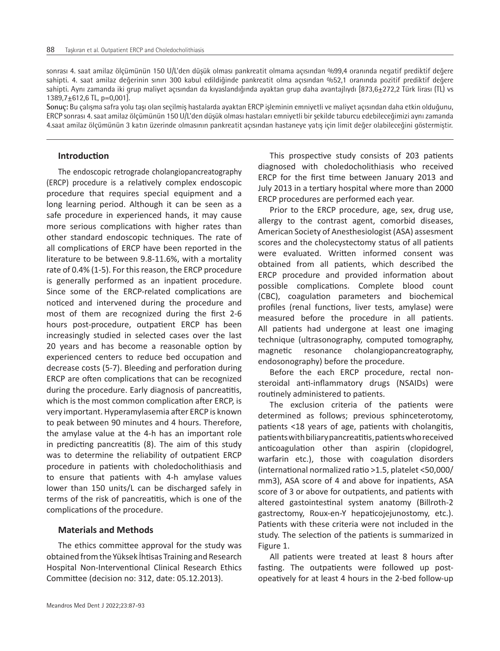sonrası 4. saat amilaz ölçümünün 150 U/L'den düşük olması pankreatit olmama açısından %99,4 oranında negatif prediktif değere sahipti. 4. saat amilaz değerinin sınırı 300 kabul edildiğinde pankreatit olma açısından %52,1 oranında pozitif prediktif değere sahipti. Aynı zamanda iki grup maliyet açısından da kıyaslandığında ayaktan grup daha avantajlıydı [873,6+272,2 Türk lirası (TL) vs  $1389,7\pm612,6$  TL, p=0,001].

**Sonuç:** Bu çalışma safra yolu taşı olan seçilmiş hastalarda ayaktan ERCP işleminin emniyetli ve maliyet açısından daha etkin olduğunu, ERCP sonrası 4. saat amilaz ölçümünün 150 U/L'den düşük olması hastaları emniyetli bir şekilde taburcu edebileceğimizi aynı zamanda 4.saat amilaz ölçümünün 3 katın üzerinde olmasının pankreatit açısından hastaneye yatış için limit değer olabileceğini göstermiştir.

# **Introduction**

The endoscopic retrograde cholangiopancreatography (ERCP) procedure is a relatively complex endoscopic procedure that requires special equipment and a long learning period. Although it can be seen as a safe procedure in experienced hands, it may cause more serious complications with higher rates than other standard endoscopic techniques. The rate of all complications of ERCP have been reported in the literature to be between 9.8-11.6%, with a mortality rate of 0.4% (1-5). For this reason, the ERCP procedure is generally performed as an inpatient procedure. Since some of the ERCP-related complications are noticed and intervened during the procedure and most of them are recognized during the first 2-6 hours post-procedure, outpatient ERCP has been increasingly studied in selected cases over the last 20 years and has become a reasonable option by experienced centers to reduce bed occupation and decrease costs (5-7). Bleeding and perforation during ERCP are often complications that can be recognized during the procedure. Early diagnosis of pancreatitis, which is the most common complication after ERCP, is very important. Hyperamylasemia after ERCP is known to peak between 90 minutes and 4 hours. Therefore, the amylase value at the 4-h has an important role in predicting pancreatitis (8). The aim of this study was to determine the reliability of outpatient ERCP procedure in patients with choledocholithiasis and to ensure that patients with 4-h amylase values lower than 150 units/L can be discharged safely in terms of the risk of pancreatitis, which is one of the complications of the procedure.

## **Materials and Methods**

The ethics committee approval for the study was obtained from the Yüksek İhtisas Training and Research Hospital Non-Interventional Clinical Research Ethics Committee (decision no: 312, date: 05.12.2013).

This prospective study consists of 203 patients diagnosed with choledocholithiasis who received ERCP for the first time between January 2013 and July 2013 in a tertiary hospital where more than 2000 ERCP procedures are performed each year.

Prior to the ERCP procedure, age, sex, drug use, allergy to the contrast agent, comorbid diseases, American Society of Anesthesiologist (ASA) assesment scores and the cholecystectomy status of all patients were evaluated. Written informed consent was obtained from all patients, which described the ERCP procedure and provided information about possible complications. Complete blood count (CBC), coagulation parameters and biochemical profiles (renal functions, liver tests, amylase) were measured before the procedure in all patients. All patients had undergone at least one imaging technique (ultrasonography, computed tomography, magnetic resonance cholangiopancreatography, endosonography) before the procedure.

Before the each ERCP procedure, rectal nonsteroidal anti-inflammatory drugs (NSAIDs) were routinely administered to patients.

The exclusion criteria of the patients were determined as follows; previous sphinceterotomy, patients <18 years of age, patients with cholangitis, patients with biliary pancreatitis, patients who received anticoagulation other than aspirin (clopidogrel, warfarin etc.), those with coagulation disorders (international normalized ratio >1.5, platelet <50,000/ mm3), ASA score of 4 and above for inpatients, ASA score of 3 or above for outpatients, and patients with altered gastointestinal system anatomy (Billroth-2 gastrectomy, Roux-en-Y hepaticojejunostomy, etc.). Patients with these criteria were not included in the study. The selection of the patients is summarized in Figure 1.

All patients were treated at least 8 hours after fasting. The outpatients were followed up postopeatively for at least 4 hours in the 2-bed follow-up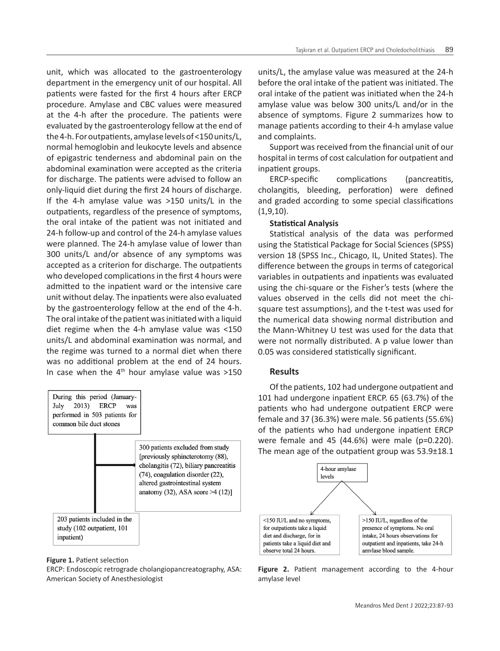unit, which was allocated to the gastroenterology department in the emergency unit of our hospital. All patients were fasted for the first 4 hours after ERCP procedure. Amylase and CBC values were measured at the 4-h after the procedure. The patients were evaluated by the gastroenterology fellow at the end of the 4-h. For outpatients, amylase levels of <150 units/L, normal hemoglobin and leukocyte levels and absence of epigastric tenderness and abdominal pain on the abdominal examination were accepted as the criteria for discharge. The patients were advised to follow an only-liquid diet during the first 24 hours of discharge. If the 4-h amylase value was >150 units/L in the outpatients, regardless of the presence of symptoms, the oral intake of the patient was not initiated and 24-h follow-up and control of the 24-h amylase values were planned. The 24-h amylase value of lower than 300 units/L and/or absence of any symptoms was accepted as a criterion for discharge. The outpatients who developed complications in the first 4 hours were admitted to the inpatient ward or the intensive care unit without delay. The inpatients were also evaluated by the gastroenterology fellow at the end of the 4-h. The oral intake of the patient was initiated with a liquid diet regime when the 4-h amylase value was <150 units/L and abdominal examination was normal, and the regime was turned to a normal diet when there was no additional problem at the end of 24 hours. In case when the  $4<sup>th</sup>$  hour amylase value was  $>150$ 



#### **Figure 1.** Patient selection

ERCP: Endoscopic retrograde cholangiopancreatography, ASA: American Society of Anesthesiologist

units/L, the amylase value was measured at the 24-h before the oral intake of the patient was initiated. The oral intake of the patient was initiated when the 24-h amylase value was below 300 units/L and/or in the absence of symptoms. Figure 2 summarizes how to manage patients according to their 4-h amylase value and complaints.

Support was received from the financial unit of our hospital in terms of cost calculation for outpatient and inpatient groups.

ERCP-specific complications (pancreatitis, cholangitis, bleeding, perforation) were defined and graded according to some special classifications (1,9,10).

## **Statistical Analysis**

Statistical analysis of the data was performed using the Statistical Package for Social Sciences (SPSS) version 18 (SPSS Inc., Chicago, IL, United States). The difference between the groups in terms of categorical variables in outpatients and inpatients was evaluated using the chi-square or the Fisher's tests (where the values observed in the cells did not meet the chisquare test assumptions), and the t-test was used for the numerical data showing normal distribution and the Mann-Whitney U test was used for the data that were not normally distributed. A p value lower than 0.05 was considered statistically significant.

## **Results**

Of the patients, 102 had undergone outpatient and 101 had undergone inpatient ERCP. 65 (63.7%) of the patients who had undergone outpatient ERCP were female and 37 (36.3%) were male. 56 patients (55.6%) of the patients who had undergone inpatient ERCP were female and 45 (44.6%) were male (p=0.220). The mean age of the outpatient group was 53.9±18.1



**Figure 2.** Patient management according to the 4-hour amylase level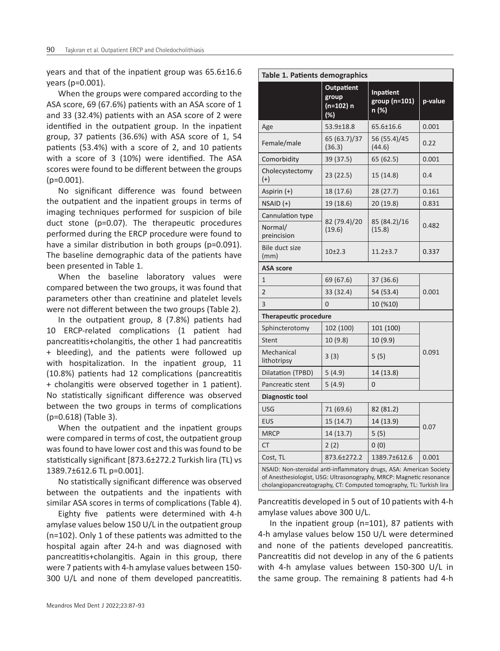years and that of the inpatient group was 65.6±16.6 years (p=0.001).

When the groups were compared according to the ASA score, 69 (67.6%) patients with an ASA score of 1 and 33 (32.4%) patients with an ASA score of 2 were identified in the outpatient group. In the inpatient group, 37 patients (36.6%) with ASA score of 1, 54 patients (53.4%) with a score of 2, and 10 patients with a score of 3 (10%) were identified. The ASA scores were found to be different between the groups (p=0.001).

No significant difference was found between the outpatient and the inpatient groups in terms of imaging techniques performed for suspicion of bile duct stone (p=0.07). The therapeutic procedures performed during the ERCP procedure were found to have a similar distribution in both groups (p=0.091). The baseline demographic data of the patients have been presented in Table 1.

When the baseline laboratory values were compared between the two groups, it was found that parameters other than creatinine and platelet levels were not different between the two groups (Table 2).

In the outpatient group, 8 (7.8%) patients had 10 ERCP-related complications (1 patient had pancreatitis+cholangitis, the other 1 had pancreatitis + bleeding), and the patients were followed up with hospitalization. In the inpatient group, 11 (10.8%) patients had 12 complications (pancreatitis + cholangitis were observed together in 1 patient). No statistically significant difference was observed between the two groups in terms of complications (p=0.618) (Table 3).

When the outpatient and the inpatient groups were compared in terms of cost, the outpatient group was found to have lower cost and this was found to be statistically significant [873.6±272.2 Turkish lira (TL) vs 1389.7±612.6 TL p=0.001].

No statistically significant difference was observed between the outpatients and the inpatients with similar ASA scores in terms of complications (Table 4).

Eighty five patients were determined with 4-h amylase values below 150 U/L in the outpatient group (n=102). Only 1 of these patients was admitted to the hospital again after 24-h and was diagnosed with pancreatitis+cholangitis. Again in this group, there were 7 patients with 4-h amylase values between 150- 300 U/L and none of them developed pancreatitis.

| Table 1. Patients demographics             |                                                   |                                     |         |  |
|--------------------------------------------|---------------------------------------------------|-------------------------------------|---------|--|
|                                            | <b>Outpatient</b><br>group<br>(n=102) n<br>$(\%)$ | Inpatient<br>group (n=101)<br>n (%) | p-value |  |
| Age                                        | 53.9±18.8                                         | 65.6±16.6                           | 0.001   |  |
| Female/male                                | 65 (63.7)/37<br>(36.3)                            | 56 (55.4)/45<br>(44.6)              | 0.22    |  |
| Comorbidity                                | 39 (37.5)                                         | 65 (62.5)                           | 0.001   |  |
| Cholecystectomy<br>$(+)$                   | 23 (22.5)                                         | 15 (14.8)                           | 0.4     |  |
| Aspirin (+)                                | 18 (17.6)                                         | 28 (27.7)                           | 0.161   |  |
| $NSAID (+)$                                | 19 (18.6)                                         | 20 (19.8)                           | 0.831   |  |
| Cannulation type<br>Normal/<br>preincision | 82 (79.4)/20<br>(19.6)                            | 85 (84.2)/16<br>(15.8)              | 0.482   |  |
| Bile duct size<br>(mm)                     | $10+2.3$                                          | $11.2 + 3.7$                        | 0.337   |  |
| <b>ASA score</b>                           |                                                   |                                     |         |  |
| $\mathbf{1}$                               | 69 (67.6)                                         | 37 (36.6)                           |         |  |
| $\overline{2}$                             | 33 (32.4)                                         | 54 (53.4)                           | 0.001   |  |
| 3                                          | $\overline{0}$                                    | 10 (%10)                            |         |  |
| <b>Therapeutic procedure</b>               |                                                   |                                     |         |  |
| Sphincterotomy                             | 102 (100)                                         | 101 (100)                           |         |  |
| <b>Stent</b>                               | 10 (9.8)                                          | 10 (9.9)                            |         |  |
| Mechanical<br>lithotripsy                  | 3(3)                                              | 5(5)                                | 0.091   |  |
| Dilatation (TPBD)                          | 5(4.9)                                            | 14 (13.8)                           |         |  |
| Pancreatic stent                           | 5(4.9)                                            | 0                                   |         |  |
| Diagnostic tool                            |                                                   |                                     |         |  |
| <b>USG</b>                                 | 71 (69.6)                                         | 82 (81.2)                           |         |  |
| <b>EUS</b>                                 | 15(14.7)                                          | 14 (13.9)                           |         |  |
| <b>MRCP</b>                                | 14 (13.7)                                         | 5(5)                                | 0.07    |  |
| <b>CT</b>                                  | 2(2)                                              | 0(0)                                |         |  |
| Cost, TL                                   | 873.6±272.2                                       | 1389.7±612.6                        | 0.001   |  |

Pancreatitis developed in 5 out of 10 patients with 4-h amylase values above 300 U/L.

cholangiopancreatography, CT: Computed tomography, TL: Turkish lira

In the inpatient group (n=101), 87 patients with 4-h amylase values below 150 U/L were determined and none of the patients developed pancreatitis. Pancreatitis did not develop in any of the 6 patients with 4-h amylase values between 150-300 U/L in the same group. The remaining 8 patients had 4-h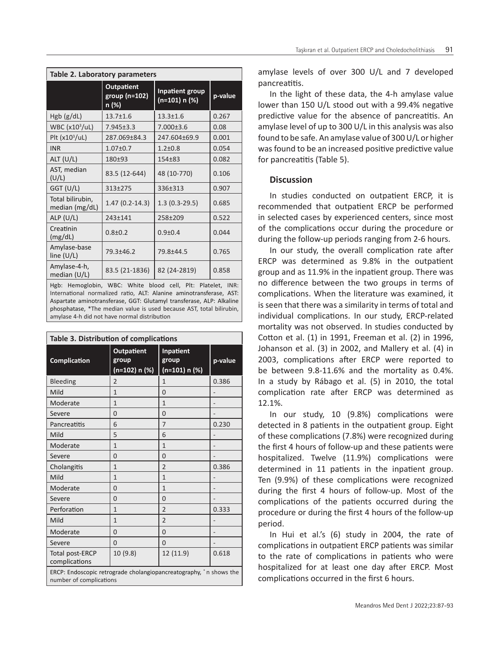| Table 2. Laboratory parameters     |                                             |                                         |         |
|------------------------------------|---------------------------------------------|-----------------------------------------|---------|
|                                    | <b>Outpatient</b><br>group (n=102)<br>n (%) | <b>Inpatient group</b><br>(n=101) n (%) | p-value |
| Hgb (g/dL)                         | $13.7 + 1.6$                                | $13.3 \pm 1.6$                          | 0.267   |
| WBC $(x10^3/UL)$                   | $7.945 \pm 3.3$                             | $7.000 \pm 3.6$                         | 0.08    |
| Plt (x10 <sup>3</sup> /uL)         | 287.069+84.3                                | 247.604±69.9                            | 0.001   |
| <b>INR</b>                         | $1.07 + 0.7$                                | $1.2 + 0.8$                             | 0.054   |
| ALT (U/L)                          | $180+93$                                    | $154 + 83$                              | 0.082   |
| AST, median<br>(U/L)               | 83.5 (12-644)                               | 48 (10-770)                             | 0.106   |
| GGT (U/L)                          | 313±275                                     | 336±313                                 | 0.907   |
| Total bilirubin,<br>median (mg/dL) | $1.47(0.2-14.3)$                            | $1.3(0.3-29.5)$                         | 0.685   |
| ALP(U/L)                           | 243±141                                     | 258±209                                 | 0.522   |
| Creatinin<br>(mg/dL)               | $0.8 + 0.2$                                 | $0.9 + 0.4$                             | 0.044   |
| Amylase-base<br>line $(U/L)$       | 79.3±46.2                                   | 79.8±44.5                               | 0.765   |
| Amylase-4-h,<br>median $(U/L)$     | 83.5 (21-1836)                              | 82 (24-2819)                            | 0.858   |

Hgb: Hemoglobin, WBC: White blood cell, Plt: Platelet, INR: International normalized ratio, ALT: Alanine aminotransferase, AST: Aspartate aminotransferase, GGT: Glutamyl transferase, ALP: Alkaline phosphatase, \*The median value is used because AST, total bilirubin, amylase 4-h did not have normal distribution

| Table 3. Distribution of complications                                                         |                                             |                                       |         |
|------------------------------------------------------------------------------------------------|---------------------------------------------|---------------------------------------|---------|
| <b>Complication</b>                                                                            | <b>Outpatient</b><br>group<br>(n=102) n (%) | Inpatient<br>group<br>$(n=101) n (%)$ | p-value |
| Bleeding                                                                                       | $\overline{\phantom{0}}$                    | 1                                     | 0.386   |
| Mild                                                                                           | 1                                           | $\Omega$                              |         |
| Moderate                                                                                       | $\mathbf{1}$                                | 1                                     |         |
| Severe                                                                                         | $\Omega$                                    | $\Omega$                              |         |
| Pancreatitis                                                                                   | 6                                           | $\overline{7}$                        | 0.230   |
| Mild                                                                                           | 5                                           | 6                                     |         |
| Moderate                                                                                       | $\mathbf{1}$                                | $\mathbf{1}$                          |         |
| Severe                                                                                         | $\Omega$                                    | $\Omega$                              |         |
| Cholangitis                                                                                    | 1                                           | $\overline{2}$                        | 0.386   |
| Mild                                                                                           | $\mathbf{1}$                                | 1                                     |         |
| Moderate                                                                                       | 0                                           | $\mathbf{1}$                          |         |
| Severe                                                                                         | $\Omega$                                    | $\Omega$                              |         |
| Perforation                                                                                    | $\mathbf{1}$                                | $\overline{2}$                        | 0.333   |
| Mild                                                                                           | $\mathbf{1}$                                | $\overline{2}$                        |         |
| Moderate                                                                                       | $\Omega$                                    | $\Omega$                              |         |
| Severe                                                                                         | $\Omega$                                    | $\Omega$                              |         |
| Total post-ERCP<br>complications                                                               | 10 (9.8)                                    | 12 (11.9)                             | 0.618   |
| ERCP: Endoscopic retrograde cholangiopancreatography, * n shows the<br>number of complications |                                             |                                       |         |

amylase levels of over 300 U/L and 7 developed pancreatitis.

In the light of these data, the 4-h amylase value lower than 150 U/L stood out with a 99.4% negative predictive value for the absence of pancreatitis. An amylase level of up to 300 U/L in this analysis was also found to be safe. An amylase value of 300 U/L or higher was found to be an increased positive predictive value for pancreatitis (Table 5).

# **Discussion**

In studies conducted on outpatient ERCP, it is recommended that outpatient ERCP be performed in selected cases by experienced centers, since most of the complications occur during the procedure or during the follow-up periods ranging from 2-6 hours.

In our study, the overall complication rate after ERCP was determined as 9.8% in the outpatient group and as 11.9% in the inpatient group. There was no difference between the two groups in terms of complications. When the literature was examined, it is seen that there was a similarity in terms of total and individual complications. In our study, ERCP-related mortality was not observed. In studies conducted by Cotton et al. (1) in 1991, Freeman et al. (2) in 1996, Johanson et al. (3) in 2002, and Mallery et al. (4) in 2003, complications after ERCP were reported to be between 9.8-11.6% and the mortality as 0.4%. In a study by Rábago et al. (5) in 2010, the total complication rate after ERCP was determined as 12.1%.

In our study, 10 (9.8%) complications were detected in 8 patients in the outpatient group. Eight of these complications (7.8%) were recognized during the first 4 hours of follow-up and these patients were hospitalized. Twelve (11.9%) complications were determined in 11 patients in the inpatient group. Ten (9.9%) of these complications were recognized during the first 4 hours of follow-up. Most of the complications of the patients occurred during the procedure or during the first 4 hours of the follow-up period.

In Hui et al.'s (6) study in 2004, the rate of complications in outpatient ERCP patients was similar to the rate of complications in patients who were hospitalized for at least one day after ERCP. Most complications occurred in the first 6 hours.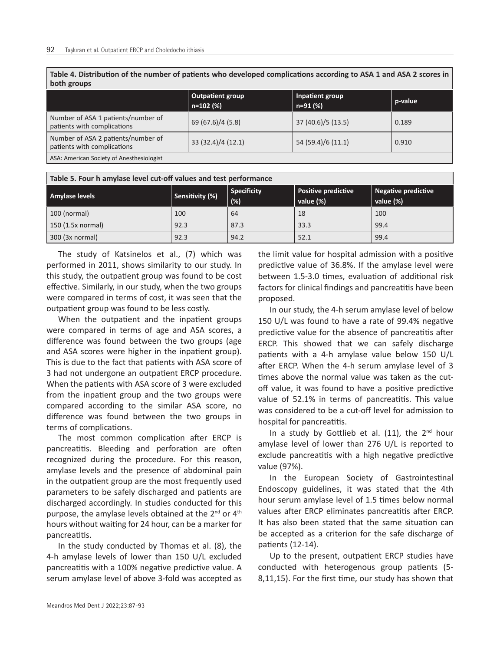**Table 4. Distribution of the number of patients who developed complications according to ASA 1 and ASA 2 scores in both groups**

|                                                                   | <b>Outpatient group</b><br>Inpatient group<br>$n=102$ (%)<br>$n=91(%)$ |                    | p-value |
|-------------------------------------------------------------------|------------------------------------------------------------------------|--------------------|---------|
| Number of ASA 1 patients/number of<br>patients with complications | 69 (67.6)/4 (5.8)                                                      | 37 (40.6)/5 (13.5) | 0.189   |
| Number of ASA 2 patients/number of<br>patients with complications | 33 (32.4)/4 (12.1)                                                     | 54 (59.4)/6 (11.1) | 0.910   |
| ASA: American Society of Anesthesiologist                         |                                                                        |                    |         |

| Table 5. Four h amylase level cut-off values and test performance |                 |                           |                                         |                                  |
|-------------------------------------------------------------------|-----------------|---------------------------|-----------------------------------------|----------------------------------|
| Amylase levels                                                    | Sensitivity (%) | <b>Specificity</b><br>(%) | <b>Positive predictive</b><br>value (%) | Negative predictive<br>value (%) |
| 100 (normal)                                                      | 100             | 64                        | 18                                      | 100                              |
| 150 (1.5x normal)                                                 | 92.3            | 87.3                      | 33.3                                    | 99.4                             |
| 300 (3x normal)                                                   | 92.3            | 94.2                      | 52.1                                    | 99.4                             |

The study of Katsinelos et al., (7) which was performed in 2011, shows similarity to our study. In this study, the outpatient group was found to be cost effective. Similarly, in our study, when the two groups were compared in terms of cost, it was seen that the outpatient group was found to be less costly.

When the outpatient and the inpatient groups were compared in terms of age and ASA scores, a difference was found between the two groups (age and ASA scores were higher in the inpatient group). This is due to the fact that patients with ASA score of 3 had not undergone an outpatient ERCP procedure. When the patients with ASA score of 3 were excluded from the inpatient group and the two groups were compared according to the similar ASA score, no difference was found between the two groups in terms of complications.

The most common complication after ERCP is pancreatitis. Bleeding and perforation are often recognized during the procedure. For this reason, amylase levels and the presence of abdominal pain in the outpatient group are the most frequently used parameters to be safely discharged and patients are discharged accordingly. In studies conducted for this purpose, the amylase levels obtained at the  $2^{nd}$  or  $4^{th}$ hours without waiting for 24 hour, can be a marker for pancreatitis.

In the study conducted by Thomas et al. (8), the 4-h amylase levels of lower than 150 U/L excluded pancreatitis with a 100% negative predictive value. A serum amylase level of above 3-fold was accepted as the limit value for hospital admission with a positive predictive value of 36.8%. If the amylase level were between 1.5-3.0 times, evaluation of additional risk factors for clinical findings and pancreatitis have been proposed.

In our study, the 4-h serum amylase level of below 150 U/L was found to have a rate of 99.4% negative predictive value for the absence of pancreatitis after ERCP. This showed that we can safely discharge patients with a 4-h amylase value below 150 U/L after ERCP. When the 4-h serum amylase level of 3 times above the normal value was taken as the cutoff value, it was found to have a positive predictive value of 52.1% in terms of pancreatitis. This value was considered to be a cut-off level for admission to hospital for pancreatitis.

In a study by Gottlieb et al.  $(11)$ , the 2<sup>nd</sup> hour amylase level of lower than 276 U/L is reported to exclude pancreatitis with a high negative predictive value (97%).

In the European Society of Gastrointestinal Endoscopy guidelines, it was stated that the 4th hour serum amylase level of 1.5 times below normal values after ERCP eliminates pancreatitis after ERCP. It has also been stated that the same situation can be accepted as a criterion for the safe discharge of patients (12-14).

Up to the present, outpatient ERCP studies have conducted with heterogenous group patients (5- 8,11,15). For the first time, our study has shown that